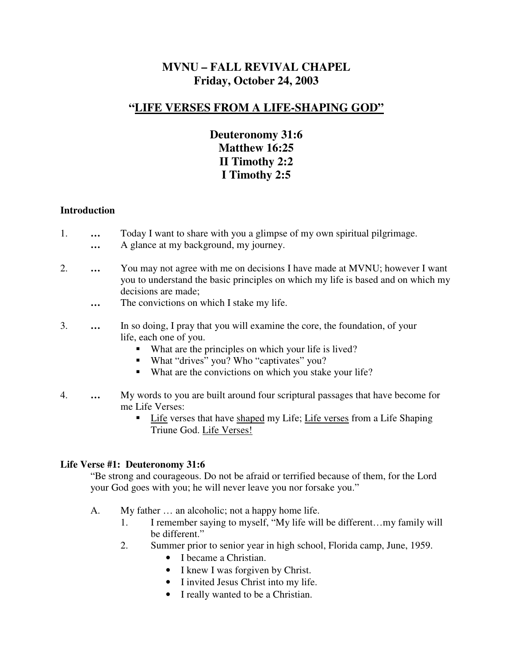# **MVNU – FALL REVIVAL CHAPEL Friday, October 24, 2003**

# **"LIFE VERSES FROM A LIFE-SHAPING GOD"**

# **Deuteronomy 31:6 Matthew 16:25 II Timothy 2:2 I Timothy 2:5**

#### **Introduction**

- 1. **…** Today I want to share with you a glimpse of my own spiritual pilgrimage. **…** A glance at my background, my journey.
- 2. **…** You may not agree with me on decisions I have made at MVNU; however I want you to understand the basic principles on which my life is based and on which my decisions are made;
	- **…** The convictions on which I stake my life.
- 3. **…** In so doing, I pray that you will examine the core, the foundation, of your life, each one of you.
	- What are the principles on which your life is lived?
	- What "drives" you? Who "captivates" you?
	- What are the convictions on which you stake your life?
- 4. **…** My words to you are built around four scriptural passages that have become for me Life Verses:
	- **Life verses that have shaped my Life; Life verses from a Life Shaping** Triune God. Life Verses!

### **Life Verse #1: Deuteronomy 31:6**

"Be strong and courageous. Do not be afraid or terrified because of them, for the Lord your God goes with you; he will never leave you nor forsake you."

- A. My father … an alcoholic; not a happy home life.
	- 1. I remember saying to myself, "My life will be different…my family will be different."
	- 2. Summer prior to senior year in high school, Florida camp, June, 1959.
		- I became a Christian.
		- I knew I was forgiven by Christ.
		- I invited Jesus Christ into my life.
		- I really wanted to be a Christian.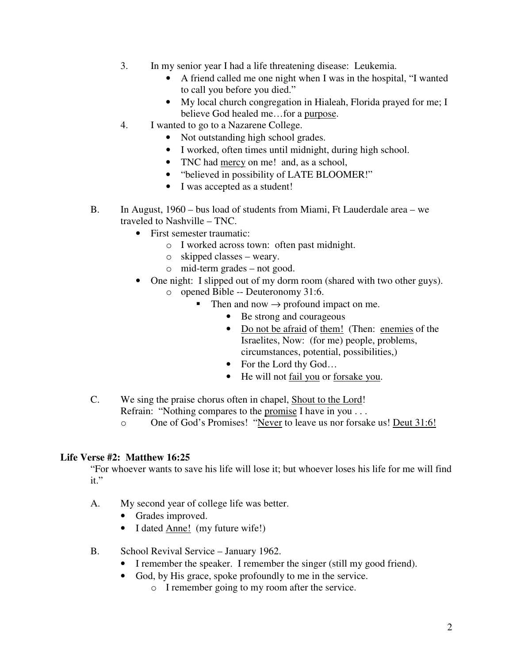- 3. In my senior year I had a life threatening disease: Leukemia.
	- A friend called me one night when I was in the hospital, "I wanted to call you before you died."
	- My local church congregation in Hialeah, Florida prayed for me; I believe God healed me…for a purpose.
- 4. I wanted to go to a Nazarene College.
	- Not outstanding high school grades.
	- I worked, often times until midnight, during high school.
	- TNC had mercy on me! and, as a school,
	- "believed in possibility of LATE BLOOMER!"
	- I was accepted as a student!
- B. In August, 1960 bus load of students from Miami, Ft Lauderdale area we traveled to Nashville – TNC.
	- First semester traumatic:
		- o I worked across town: often past midnight.
		- o skipped classes weary.
		- o mid-term grades not good.
	- One night: I slipped out of my dorm room (shared with two other guys).
		- o opened Bible -- Deuteronomy 31:6.
			- Then and now  $\rightarrow$  profound impact on me.
				- Be strong and courageous
				- Do not be afraid of them! (Then: enemies of the Israelites, Now: (for me) people, problems, circumstances, potential, possibilities,)
				- For the Lord thy God...
				- He will not fail you or forsake you.
- C. We sing the praise chorus often in chapel, Shout to the Lord!
	- Refrain: "Nothing compares to the promise I have in you . . .
	- o One of God's Promises! "Never to leave us nor forsake us! Deut 31:6!

### **Life Verse #2: Matthew 16:25**

"For whoever wants to save his life will lose it; but whoever loses his life for me will find it."

- A. My second year of college life was better.
	- Grades improved.
	- I dated <u>Anne!</u> (my future wife!)
- B. School Revival Service January 1962.
	- I remember the speaker. I remember the singer (still my good friend).
	- God, by His grace, spoke profoundly to me in the service.
		- o I remember going to my room after the service.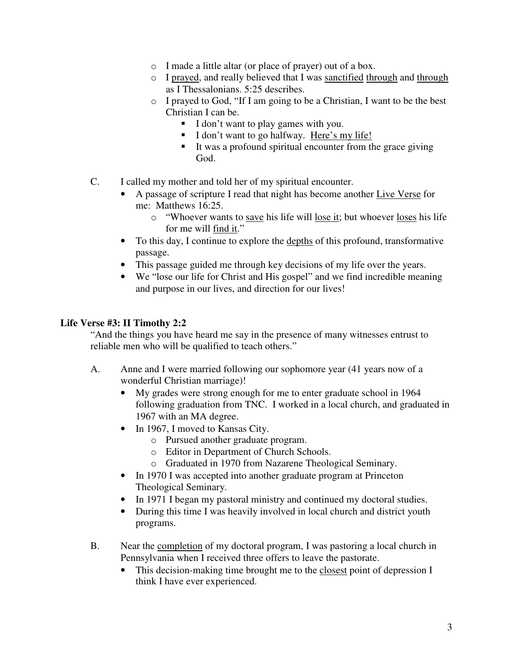- o I made a little altar (or place of prayer) out of a box.
- o I prayed, and really believed that I was sanctified through and through as I Thessalonians. 5:25 describes.
- o I prayed to God, "If I am going to be a Christian, I want to be the best Christian I can be.
	- I don't want to play games with you.
	- I don't want to go halfway. Here's my life!
	- It was a profound spiritual encounter from the grace giving God.
- C. I called my mother and told her of my spiritual encounter.
	- A passage of scripture I read that night has become another Live Verse for me: Matthews 16:25.
		- o "Whoever wants to save his life will lose it; but whoever loses his life for me will find it."
	- To this day, I continue to explore the depths of this profound, transformative passage.
	- This passage guided me through key decisions of my life over the years.
	- We "lose our life for Christ and His gospel" and we find incredible meaning and purpose in our lives, and direction for our lives!

#### **Life Verse #3: II Timothy 2:2**

"And the things you have heard me say in the presence of many witnesses entrust to reliable men who will be qualified to teach others."

- A. Anne and I were married following our sophomore year (41 years now of a wonderful Christian marriage)!
	- My grades were strong enough for me to enter graduate school in 1964 following graduation from TNC. I worked in a local church, and graduated in 1967 with an MA degree.
	- In 1967, I moved to Kansas City.
		- o Pursued another graduate program.
		- o Editor in Department of Church Schools.
		- o Graduated in 1970 from Nazarene Theological Seminary.
	- In 1970 I was accepted into another graduate program at Princeton Theological Seminary.
	- In 1971 I began my pastoral ministry and continued my doctoral studies.
	- During this time I was heavily involved in local church and district youth programs.
- B. Near the completion of my doctoral program, I was pastoring a local church in Pennsylvania when I received three offers to leave the pastorate.
	- This decision-making time brought me to the closest point of depression I think I have ever experienced.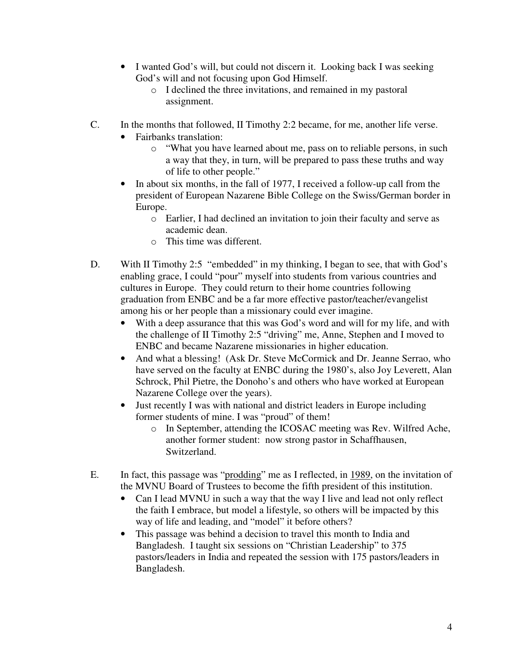- I wanted God's will, but could not discern it. Looking back I was seeking God's will and not focusing upon God Himself.
	- o I declined the three invitations, and remained in my pastoral assignment.
- C. In the months that followed, II Timothy 2:2 became, for me, another life verse.
	- Fairbanks translation:
		- o "What you have learned about me, pass on to reliable persons, in such a way that they, in turn, will be prepared to pass these truths and way of life to other people."
	- In about six months, in the fall of 1977, I received a follow-up call from the president of European Nazarene Bible College on the Swiss/German border in Europe.
		- o Earlier, I had declined an invitation to join their faculty and serve as academic dean.
		- o This time was different.
- D. With II Timothy 2:5 "embedded" in my thinking, I began to see, that with God's enabling grace, I could "pour" myself into students from various countries and cultures in Europe. They could return to their home countries following graduation from ENBC and be a far more effective pastor/teacher/evangelist among his or her people than a missionary could ever imagine.
	- With a deep assurance that this was God's word and will for my life, and with the challenge of II Timothy 2:5 "driving" me, Anne, Stephen and I moved to ENBC and became Nazarene missionaries in higher education.
	- And what a blessing! (Ask Dr. Steve McCormick and Dr. Jeanne Serrao, who have served on the faculty at ENBC during the 1980's, also Joy Leverett, Alan Schrock, Phil Pietre, the Donoho's and others who have worked at European Nazarene College over the years).
	- Just recently I was with national and district leaders in Europe including former students of mine. I was "proud" of them!
		- o In September, attending the ICOSAC meeting was Rev. Wilfred Ache, another former student: now strong pastor in Schaffhausen, Switzerland.
- E. In fact, this passage was "prodding" me as I reflected, in 1989, on the invitation of the MVNU Board of Trustees to become the fifth president of this institution.
	- Can I lead MVNU in such a way that the way I live and lead not only reflect the faith I embrace, but model a lifestyle, so others will be impacted by this way of life and leading, and "model" it before others?
	- This passage was behind a decision to travel this month to India and Bangladesh. I taught six sessions on "Christian Leadership" to 375 pastors/leaders in India and repeated the session with 175 pastors/leaders in Bangladesh.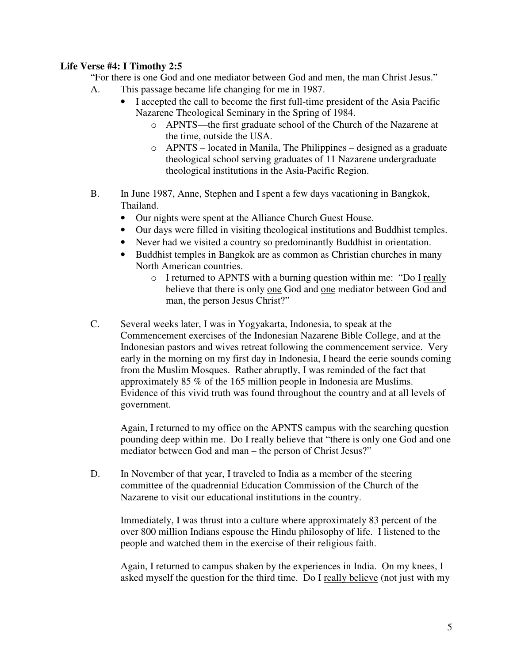### **Life Verse #4: I Timothy 2:5**

"For there is one God and one mediator between God and men, the man Christ Jesus."

- A. This passage became life changing for me in 1987.
	- I accepted the call to become the first full-time president of the Asia Pacific Nazarene Theological Seminary in the Spring of 1984.
		- o APNTS—the first graduate school of the Church of the Nazarene at the time, outside the USA.
		- o APNTS located in Manila, The Philippines designed as a graduate theological school serving graduates of 11 Nazarene undergraduate theological institutions in the Asia-Pacific Region.
- B. In June 1987, Anne, Stephen and I spent a few days vacationing in Bangkok, Thailand.
	- Our nights were spent at the Alliance Church Guest House.
	- Our days were filled in visiting theological institutions and Buddhist temples.
	- Never had we visited a country so predominantly Buddhist in orientation.
	- Buddhist temples in Bangkok are as common as Christian churches in many North American countries.
		- o I returned to APNTS with a burning question within me: "Do I really believe that there is only one God and one mediator between God and man, the person Jesus Christ?"
- C. Several weeks later, I was in Yogyakarta, Indonesia, to speak at the Commencement exercises of the Indonesian Nazarene Bible College, and at the Indonesian pastors and wives retreat following the commencement service. Very early in the morning on my first day in Indonesia, I heard the eerie sounds coming from the Muslim Mosques. Rather abruptly, I was reminded of the fact that approximately 85 % of the 165 million people in Indonesia are Muslims. Evidence of this vivid truth was found throughout the country and at all levels of government.

Again, I returned to my office on the APNTS campus with the searching question pounding deep within me. Do I really believe that "there is only one God and one mediator between God and man – the person of Christ Jesus?"

D. In November of that year, I traveled to India as a member of the steering committee of the quadrennial Education Commission of the Church of the Nazarene to visit our educational institutions in the country.

Immediately, I was thrust into a culture where approximately 83 percent of the over 800 million Indians espouse the Hindu philosophy of life. I listened to the people and watched them in the exercise of their religious faith.

Again, I returned to campus shaken by the experiences in India. On my knees, I asked myself the question for the third time. Do I really believe (not just with my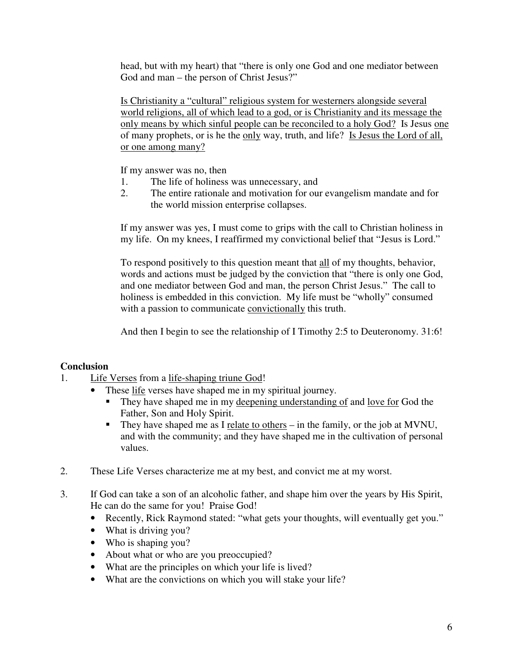head, but with my heart) that "there is only one God and one mediator between God and man – the person of Christ Jesus?"

Is Christianity a "cultural" religious system for westerners alongside several world religions, all of which lead to a god, or is Christianity and its message the only means by which sinful people can be reconciled to a holy God? Is Jesus one of many prophets, or is he the only way, truth, and life? Is Jesus the Lord of all, or one among many?

If my answer was no, then

- 1. The life of holiness was unnecessary, and
- 2. The entire rationale and motivation for our evangelism mandate and for the world mission enterprise collapses.

If my answer was yes, I must come to grips with the call to Christian holiness in my life. On my knees, I reaffirmed my convictional belief that "Jesus is Lord."

To respond positively to this question meant that all of my thoughts, behavior, words and actions must be judged by the conviction that "there is only one God, and one mediator between God and man, the person Christ Jesus." The call to holiness is embedded in this conviction. My life must be "wholly" consumed with a passion to communicate convictionally this truth.

And then I begin to see the relationship of I Timothy 2:5 to Deuteronomy. 31:6!

### **Conclusion**

- 1. Life Verses from a life-shaping triune God!
	- These life verses have shaped me in my spiritual journey.
		- They have shaped me in my deepening understanding of and love for God the Father, Son and Holy Spirit.
		- They have shaped me as I relate to others in the family, or the job at MVNU, and with the community; and they have shaped me in the cultivation of personal values.
- 2. These Life Verses characterize me at my best, and convict me at my worst.
- 3. If God can take a son of an alcoholic father, and shape him over the years by His Spirit, He can do the same for you! Praise God!
	- Recently, Rick Raymond stated: "what gets your thoughts, will eventually get you."
	- What is driving you?
	- Who is shaping you?
	- About what or who are you preoccupied?
	- What are the principles on which your life is lived?
	- What are the convictions on which you will stake your life?